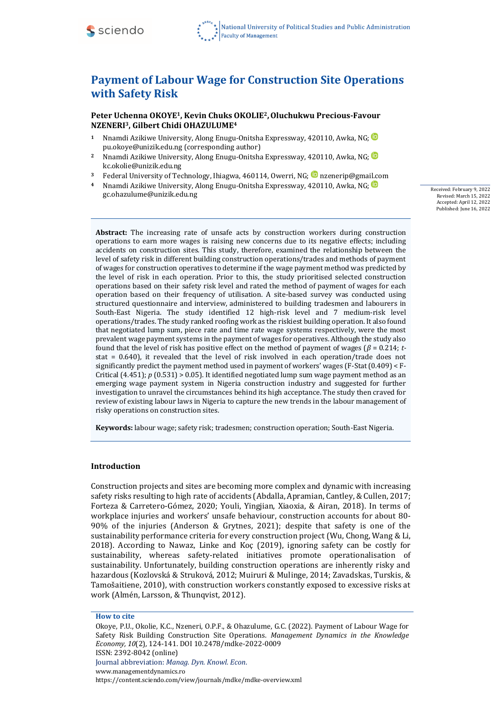

# **Payment of Labour Wage for Construction Site Operations with Safety Risk**

**Peter Uchenna OKOYE1, Kevin Chuks OKOLIE2,Oluchukwu Precious-Favour NZENERI3, Gilbert Chidi OHAZULUME<sup>4</sup>**

- **<sup>1</sup>** Nnamdi Azikiwe University, Along Enugu-Onitsha Expressway, 420110, Awka, NG; [pu.okoye@unizik.edu.ng](mailto:pu.okoye@unizik.edu.ng) (corresponding author)
- <sup>2</sup> Nnamdi Azikiwe University, Along Enugu-Onitsha Expressway, 420110, Awka, NG; <sup>1</sup> [kc.okolie@unizik.edu.ng](mailto:kc.okolie@unizik.edu.ng)
- <sup>3</sup> Federal University of Technology, Ihiagwa, 460114, Owerri, NG; **D** [nzenerip@gmail.com](mailto:nzenerip@gmail.com)
- **<sup>4</sup>** Nnamdi Azikiwe University, Along Enugu-Onitsha Expressway, 420110, Awka, NG; [gc.ohazulume@unizik.edu.ng](mailto:gc.ohazulume@unizik.edu.ng)

Received: February 9, 2022 Revised: March 15, 2022 Accepted: April 12, 2022 Published: June 16, 2022

**Abstract:** The increasing rate of unsafe acts by construction workers during construction operations to earn more wages is raising new concerns due to its negative effects; including accidents on construction sites. This study, therefore, examined the relationship between the level of safety risk in different building construction operations/trades and methods of payment of wages for construction operatives to determine if the wage payment method was predicted by the level of risk in each operation. Prior to this, the study prioritised selected construction operations based on their safety risk level and rated the method of payment of wages for each operation based on their frequency of utilisation. A site-based survey was conducted using structured questionnaire and interview, administered to building tradesmen and labourers in South-East Nigeria. The study identified 12 high-risk level and 7 medium-risk level operations/trades. The study ranked roofing work as the riskiest building operation. It also found that negotiated lump sum, piece rate and time rate wage systems respectively, were the most prevalent wage payment systems in the payment of wages for operatives. Although the study also found that the level of risk has positive effect on the method of payment of wages  $(\beta = 0.214; t$ stat = 0.640), it revealed that the level of risk involved in each operation/trade does not significantly predict the payment method used in payment of workers' wages (F-Stat (0.409) < F-Critical  $(4.451)$ ;  $p(0.531)$  > 0.05). It identified negotiated lump sum wage payment method as an emerging wage payment system in Nigeria construction industry and suggested for further investigation to unravel the circumstances behind its high acceptance. The study then craved for review of existing labour laws in Nigeria to capture the new trends in the labour management of risky operations on construction sites.

**Keywords:** labour wage; safety risk; tradesmen; construction operation; South-East Nigeria.

## **Introduction**

Construction projects and sites are becoming more complex and dynamic with increasing safety risks resulting to high rate of accidents (Abdalla, Apramian, Cantley, & Cullen, 2017; Forteza & Carretero-Gómez, 2020; Youli, Yingjian, Xiaoxia, & Airan, 2018). In terms of workplace injuries and workers' unsafe behaviour, construction accounts for about 80- 90% of the injuries (Anderson & Grytnes, 2021); despite that safety is one of the sustainability performance criteria for every construction project (Wu, Chong, Wang & Li, 2018). According to Nawaz, Linke and Koҫ (2019), ignoring safety can be costly for sustainability, whereas safety-related initiatives promote operationalisation of sustainability. Unfortunately, building construction operations are inherently risky and hazardous (Kozlovská & Struková, 2012; Muiruri & Mulinge, 2014; Zavadskas, Turskis, & Tamošaitiene, 2010), with construction workers constantly exposed to excessive risks at work (Almén, Larsson, & Thunqvist, 2012).

Okoye, P.U., Okolie, K.C., Nzeneri, O.P.F., & Ohazulume, G.C. (2022). Payment of Labour Wage for Safety Risk Building Construction Site Operations. *Management Dynamics in the Knowledge Economy, 10*(2)*,* 124-141. DOI 10.2478/mdke-2022-0009 ISSN: 2392-8042 (online)

**How to cite**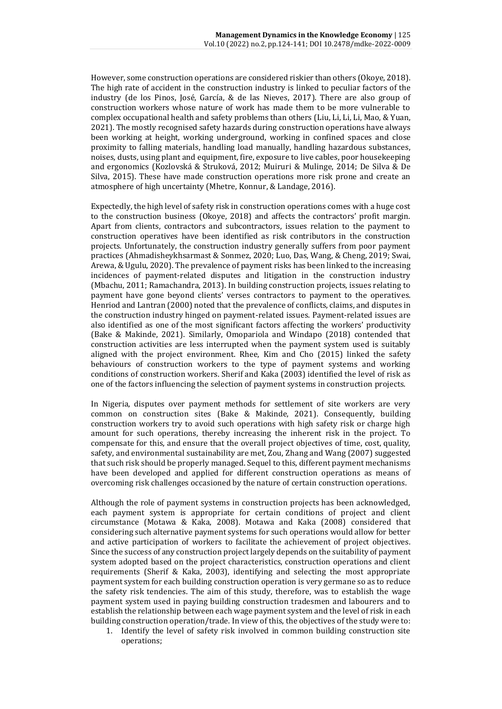However, some construction operations are considered riskier than others (Okoye, 2018). The high rate of accident in the construction industry is linked to peculiar factors of the industry (de los Pinos, José, García, & de las Nieves, 2017). There are also group of construction workers whose nature of work has made them to be more vulnerable to complex occupational health and safety problems than others (Liu, Li, Li, Li, Mao, & Yuan, 2021). The mostly recognised safety hazards during construction operations have always been working at height, working underground, working in confined spaces and close proximity to falling materials, handling load manually, handling hazardous substances, noises, dusts, using plant and equipment, fire, exposure to live cables, poor housekeeping and ergonomics (Kozlovská & Struková, 2012; Muiruri & Mulinge, 2014; De Silva & De Silva, 2015). These have made construction operations more risk prone and create an atmosphere of high uncertainty (Mhetre, Konnur, & Landage, 2016).

Expectedly, the high level of safety risk in construction operations comes with a huge cost to the construction business (Okoye, 2018) and affects the contractors' profit margin. Apart from clients, contractors and subcontractors, issues relation to the payment to construction operatives have been identified as risk contributors in the construction projects. Unfortunately, the construction industry generally suffers from poor payment practices (Ahmadisheykhsarmast & Sonmez, 2020; Luo, Das, Wang, & Cheng, 2019; Swai, Arewa, & Ugulu, 2020). The prevalence of payment risks has been linked to the increasing incidences of payment-related disputes and litigation in the construction industry (Mbachu, 2011; Ramachandra, 2013). In building construction projects, issues relating to payment have gone beyond clients' verses contractors to payment to the operatives. Henriod and Lantran (2000) noted that the prevalence of conflicts, claims, and disputes in the construction industry hinged on payment-related issues. Payment-related issues are also identified as one of the most significant factors affecting the workers' productivity (Bake & Makinde, 2021). Similarly, Omopariola and Windapo (2018) contended that construction activities are less interrupted when the payment system used is suitably aligned with the project environment. Rhee, Kim and Cho (2015) linked the safety behaviours of construction workers to the type of payment systems and working conditions of construction workers. Sherif and Kaka (2003) identified the level of risk as one of the factors influencing the selection of payment systems in construction projects.

In Nigeria, disputes over payment methods for settlement of site workers are very common on construction sites (Bake & Makinde, 2021). Consequently, building construction workers try to avoid such operations with high safety risk or charge high amount for such operations, thereby increasing the inherent risk in the project. To compensate for this, and ensure that the overall project objectives of time, cost, quality, safety, and environmental sustainability are met, Zou, Zhang and Wang (2007) suggested that such risk should be properly managed. Sequel to this, different payment mechanisms have been developed and applied for different construction operations as means of overcoming risk challenges occasioned by the nature of certain construction operations.

Although the role of payment systems in construction projects has been acknowledged, each payment system is appropriate for certain conditions of project and client circumstance (Motawa & Kaka, 2008). Motawa and Kaka (2008) considered that considering such alternative payment systems for such operations would allow for better and active participation of workers to facilitate the achievement of project objectives. Since the success of any construction project largely depends on the suitability of payment system adopted based on the project characteristics, construction operations and client requirements (Sherif & Kaka, 2003), identifying and selecting the most appropriate payment system for each building construction operation is very germane so as to reduce the safety risk tendencies. The aim of this study, therefore, was to establish the wage payment system used in paying building construction tradesmen and labourers and to establish the relationship between each wage payment system and the level of risk in each building construction operation/trade. In view of this, the objectives of the study were to:

1. Identify the level of safety risk involved in common building construction site operations;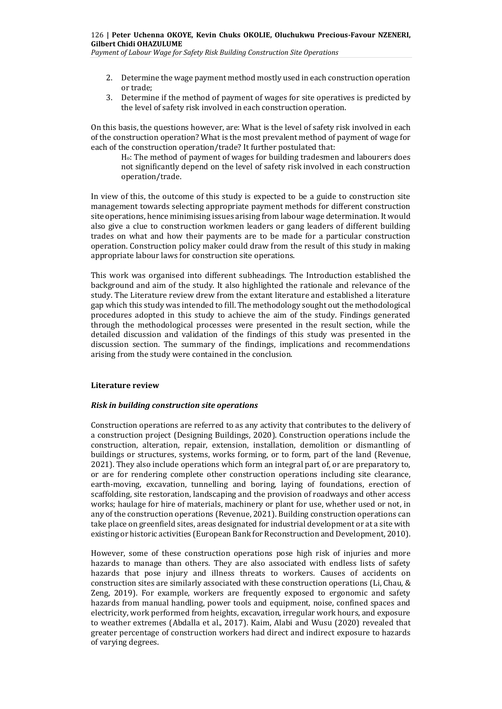*Payment of Labour Wage for Safety Risk Building Construction Site Operations*

- 2. Determine the wage payment method mostly used in each construction operation or trade;
- 3. Determine if the method of payment of wages for site operatives is predicted by the level of safety risk involved in each construction operation.

On this basis, the questions however, are: What is the level of safety risk involved in each of the construction operation? What is the most prevalent method of payment of wage for each of the construction operation/trade? It further postulated that:

Ho: The method of payment of wages for building tradesmen and labourers does not significantly depend on the level of safety risk involved in each construction operation/trade.

In view of this, the outcome of this study is expected to be a guide to construction site management towards selecting appropriate payment methods for different construction site operations, hence minimising issues arising from labour wage determination. It would also give a clue to construction workmen leaders or gang leaders of different building trades on what and how their payments are to be made for a particular construction operation. Construction policy maker could draw from the result of this study in making appropriate labour laws for construction site operations.

This work was organised into different subheadings. The Introduction established the background and aim of the study. It also highlighted the rationale and relevance of the study. The Literature review drew from the extant literature and established a literature gap which this study was intended to fill. The methodology sought out the methodological procedures adopted in this study to achieve the aim of the study. Findings generated through the methodological processes were presented in the result section, while the detailed discussion and validation of the findings of this study was presented in the discussion section. The summary of the findings, implications and recommendations arising from the study were contained in the conclusion.

#### **Literature review**

#### *Risk in building construction site operations*

Construction operations are referred to as any activity that contributes to the delivery of a construction project (Designing Buildings, 2020). Construction operations include the construction, alteration, repair, extension, installation, demolition or dismantling of buildings or structures, systems, works forming, or to form, part of the land (Revenue, 2021). They also include operations which form an integral part of, or are preparatory to, or are for rendering complete other construction operations including site clearance, earth-moving, excavation, tunnelling and boring, laying of foundations, erection of scaffolding, site restoration, landscaping and the provision of roadways and other access works; haulage for hire of materials, machinery or plant for use, whether used or not, in any of the construction operations (Revenue, 2021). Building construction operations can take place on greenfield sites, areas designated for industrial development or at a site with existing or historic activities (European Bank for Reconstruction and Development, 2010).

However, some of these construction operations pose high risk of injuries and more hazards to manage than others*.* They are also associated with endless lists of safety hazards that pose injury and illness threats to workers*.* Causes of accidents on construction sites are similarly associated with these construction operations (Li, Chau, & Zeng, 2019). For example, workers are frequently exposed to ergonomic and safety hazards from manual handling, power tools and equipment, noise, confined spaces and electricity, work performed from heights, excavation, irregular work hours, and exposure to weather extremes (Abdalla et al., 2017). Kaim, Alabi and Wusu (2020) revealed that greater percentage of construction workers had direct and indirect exposure to hazards of varying degrees.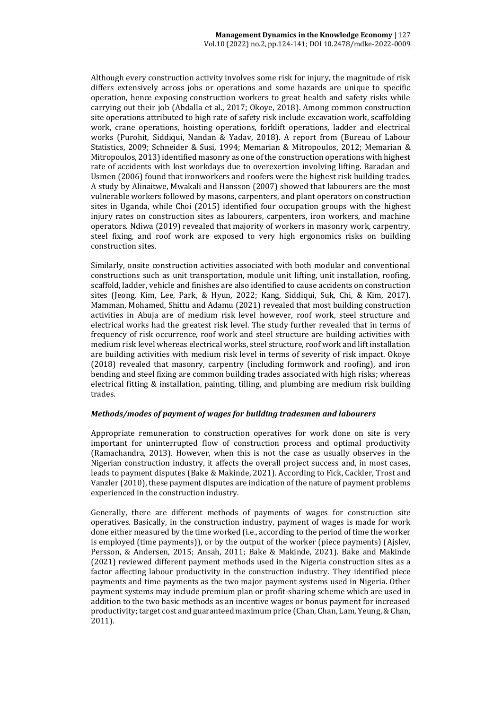Although every construction activity involves some risk for injury, the magnitude of risk differs extensively across jobs or operations and some hazards are unique to specific operation, hence exposing construction workers to great health and safety risks while carrying out their job (Abdalla et al., 2017; Okoye, 2018). Among common construction site operations attributed to high rate of safety risk include excavation work, scaffolding work, crane operations, hoisting operations, forklift operations, ladder and electrical works (Purohit, Siddiqui, Nandan & Yadav, 2018). A report from (Bureau of Labour Statistics, 2009; Schneider & Susi, 1994; Memarian & Mitropoulos, 2012; Memarian & Mitropoulos, 2013) identified masonry as one of the construction operations with highest rate of accidents with lost workdays due to overexertion involving lifting. Baradan and Usmen (2006) found that ironworkers and roofers were the highest risk building trades. A study by Alinaitwe, Mwakali and Hansson (2007) showed that labourers are the most vulnerable workers followed by masons, carpenters, and plant operators on construction sites in Uganda, while Choi (2015) identified four occupation groups with the highest injury rates on construction sites as labourers, carpenters, iron workers, and machine operators. Ndiwa (2019) revealed that majority of workers in masonry work, carpentry, steel fixing, and roof work are exposed to very high ergonomics risks on building construction sites.

Similarly, onsite construction activities associated with both modular and conventional constructions such as unit transportation, module unit lifting, unit installation, roofing, scaffold, ladder, vehicle and finishes are also identified to cause accidents on construction sites (Jeong, Kim, Lee, Park, & Hyun, 2022; Kang, Siddiqui, Suk, Chi, & Kim, 2017). Mamman, Mohamed, Shittu and Adamu (2021) revealed that most building construction activities in Abuja are of medium risk level however, roof work, steel structure and electrical works had the greatest risk level. The study further revealed that in terms of frequency of risk occurrence, roof work and steel structure are building activities with medium risk level whereas electrical works, steel structure, roof work and lift installation are building activities with medium risk level in terms of severity of risk impact. Okoye (2018) revealed that masonry, carpentry (including formwork and roofing), and iron bending and steel fixing are common building trades associated with high risks; whereas electrical fitting & installation, painting, tilling, and plumbing are medium risk building trades.

## *Methods/modes of payment of wages for building tradesmen and labourers*

Appropriate remuneration to construction operatives for work done on site is very important for uninterrupted flow of construction process and optimal productivity (Ramachandra, 2013). However, when this is not the case as usually observes in the Nigerian construction industry, it affects the overall project success and, in most cases, leads to payment disputes (Bake & Makinde, 2021). According to Fick, Cackler, Trost and Vanzler (2010), these payment disputes are indication of the nature of payment problems experienced in the construction industry.

Generally, there are different methods of payments of wages for construction site operatives. Basically, in the construction industry, payment of wages is made for work done either measured by the time worked (i.e., according to the period of time the worker is employed (time payments)), or by the output of the worker (piece payments) (Ajslev, Persson, & Andersen, 2015; Ansah, 2011; Bake & Makinde, 2021). Bake and Makinde (2021) reviewed different payment methods used in the Nigeria construction sites as a factor affecting labour productivity in the construction industry. They identified piece payments and time payments as the two major payment systems used in Nigeria. Other payment systems may include premium plan or profit-sharing scheme which are used in addition to the two basic methods as an incentive wages or bonus payment for increased productivity; target cost and guaranteed maximum price (Chan, Chan, Lam, Yeung,& Chan, 2011).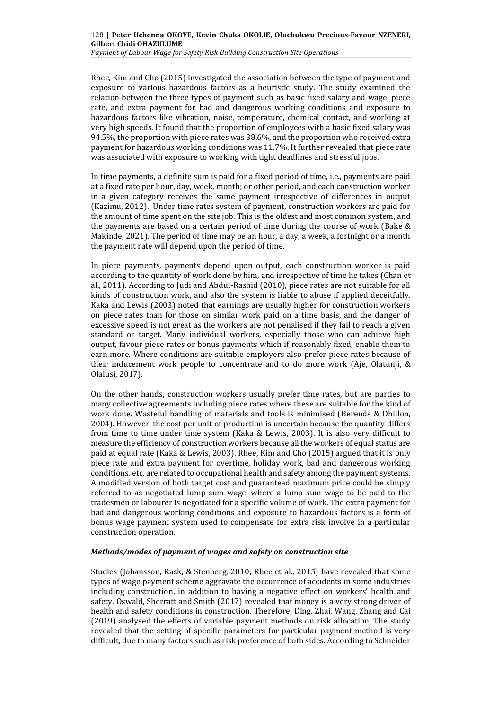*Payment of Labour Wage for Safety Risk Building Construction Site Operations*

Rhee, Kim and Cho (2015) investigated the association between the type of payment and exposure to various hazardous factors as a heuristic study. The study examined the relation between the three types of payment such as basic fixed salary and wage, piece rate, and extra payment for bad and dangerous working conditions and exposure to hazardous factors like vibration, noise, temperature, chemical contact, and working at very high speeds. It found that the proportion of employees with a basic fixed salary was 94.5%, the proportion with piece rates was 38.6%, and the proportion who received extra payment for hazardous working conditions was 11.7%. It further revealed that piece rate was associated with exposure to working with tight deadlines and stressful jobs.

In time payments, a definite sum is paid for a fixed period of time, i.e., payments are paid at a fixed rate per hour, day, week, month; or other period, and each construction worker in a given category receives the same payment irrespective of differences in output (Kazimu, 2012). Under time rates system of payment, construction workers are paid for the amount of time spent on the site job. This is the oldest and most common system, and the payments are based on a certain period of time during the course of work (Bake & Makinde, 2021). The period of time may be an hour, a day, a week, a fortnight or a month the payment rate will depend upon the period of time.

In piece payments, payments depend upon output, each construction worker is paid according to the quantity of work done by him, and irrespective of time he takes (Chan et al., 2011). According to Judi and Abdul-Rashid (2010), piece rates are not suitable for all kinds of construction work, and also the system is liable to abuse if applied deceitfully. Kaka and Lewis (2003) noted that earnings are usually higher for construction workers on piece rates than for those on similar work paid on a time basis, and the danger of excessive speed is not great as the workers are not penalised if they fail to reach a given standard or target. Many individual workers, especially those who can achieve high output, favour piece rates or bonus payments which if reasonably fixed, enable them to earn more. Where conditions are suitable employers also prefer piece rates because of their inducement work people to concentrate and to do more work (Aje, Olatunji, & Olalusi, 2017).

On the other hands, construction workers usually prefer time rates, but are parties to many collective agreements including piece rates where these are suitable for the kind of work done. Wasteful handling of materials and tools is minimised (Berends & Dhillon, 2004). However, the cost per unit of production is uncertain because the quantity differs from time to time under time system (Kaka & Lewis, 2003). It is also very difficult to measure the efficiency of construction workers because all the workers of equal status are paid at equal rate (Kaka & Lewis, 2003). Rhee, Kim and Cho (2015) argued that it is only piece rate and extra payment for overtime, holiday work, bad and dangerous working conditions, etc. are related to occupational health and safety among the payment systems. A modified version of both target cost and guaranteed maximum price could be simply referred to as negotiated lump sum wage, where a lump sum wage to be paid to the tradesmen or labourer is negotiated for a specific volume of work. The extra payment for bad and dangerous working conditions and exposure to hazardous factors is a form of bonus wage payment system used to compensate for extra risk involve in a particular construction operation.

#### *Methods/modes of payment of wages and safety on construction site*

Studies (Johansson, Rask, & Stenberg, 2010; Rhee et al., 2015) have revealed that some types of wage payment scheme aggravate the occurrence of accidents in some industries including construction, in addition to having a negative effect on workers' health and safety. Oswald, Sherratt and Smith (2017) revealed that money is a very strong driver of health and safety conditions in construction. Therefore, Ding, Zhai, Wang, Zhang and Cai (2019) analysed the effects of variable payment methods on risk allocation. The study revealed that the setting of specific parameters for particular payment method is very difficult, due to many factors such as risk preference of both sides. According to Schneider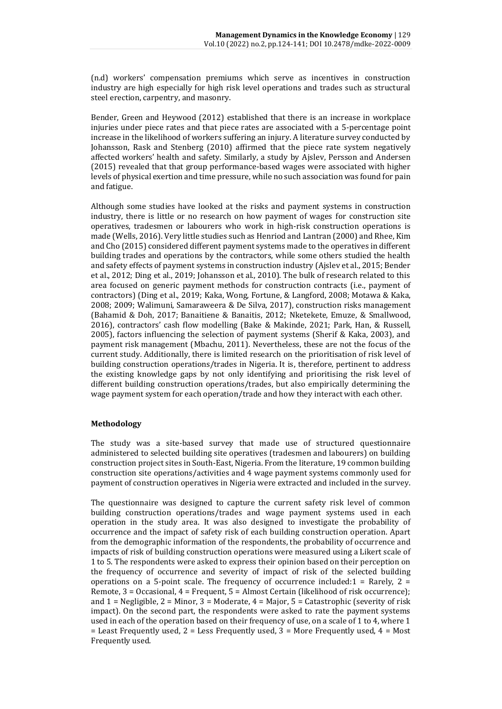(n.d) workers' compensation premiums which serve as incentives in construction industry are high especially for high risk level operations and trades such as structural steel erection, carpentry, and masonry.

Bender, Green and Heywood (2012) established that there is an increase in workplace injuries under piece rates and that piece rates are associated with a 5-percentage point increase in the likelihood of workers suffering an injury. A literature survey conducted by Johansson, Rask and Stenberg (2010) affirmed that the piece rate system negatively affected workers' health and safety. Similarly, a study by Ajslev, Persson and Andersen (2015) revealed that that group performance-based wages were associated with higher levels of physical exertion and time pressure, while no such association was found for pain and fatigue.

Although some studies have looked at the risks and payment systems in construction industry, there is little or no research on how payment of wages for construction site operatives, tradesmen or labourers who work in high-risk construction operations is made (Wells, 2016). Very little studies such as Henriod and Lantran (2000) and Rhee, Kim and Cho (2015) considered different payment systems made to the operatives in different building trades and operations by the contractors, while some others studied the health and safety effects of payment systems in construction industry (Ajslev et al., 2015; Bender et al., 2012; Ding et al., 2019; Johansson et al., 2010). The bulk of research related to this area focused on generic payment methods for construction contracts (i.e., payment of contractors) (Ding et al., 2019; Kaka, Wong, Fortune, & Langford, 2008; Motawa & Kaka, 2008; 2009; Walimuni, Samaraweera & De Silva, 2017), construction risks management (Bahamid & Doh, 2017; Banaitiene & Banaitis, 2012; Nketekete, Emuze, & Smallwood, 2016), contractors' cash flow modelling (Bake & Makinde, 2021; Park, Han, & Russell, 2005), factors influencing the selection of payment systems (Sherif & Kaka, 2003), and payment risk management (Mbachu, 2011). Nevertheless, these are not the focus of the current study. Additionally, there is limited research on the prioritisation of risk level of building construction operations/trades in Nigeria. It is, therefore, pertinent to address the existing knowledge gaps by not only identifying and prioritising the risk level of different building construction operations/trades, but also empirically determining the wage payment system for each operation/trade and how they interact with each other.

# **Methodology**

The study was a site-based survey that made use of structured questionnaire administered to selected building site operatives (tradesmen and labourers) on building construction project sites in South-East, Nigeria. From the literature, 19 common building construction site operations/activities and 4 wage payment systems commonly used for payment of construction operatives in Nigeria were extracted and included in the survey.

The questionnaire was designed to capture the current safety risk level of common building construction operations/trades and wage payment systems used in each operation in the study area. It was also designed to investigate the probability of occurrence and the impact of safety risk of each building construction operation. Apart from the demographic information of the respondents, the probability of occurrence and impacts of risk of building construction operations were measured using a Likert scale of 1 to 5. The respondents were asked to express their opinion based on their perception on the frequency of occurrence and severity of impact of risk of the selected building operations on a 5-point scale. The frequency of occurrence included: $1 =$  Rarely,  $2 =$ Remote, 3 = Occasional, 4 = Frequent, 5 = Almost Certain (likelihood of risk occurrence); and  $1$  = Negligible,  $2$  = Minor,  $3$  = Moderate,  $4$  = Major,  $5$  = Catastrophic (severity of risk impact). On the second part, the respondents were asked to rate the payment systems used in each of the operation based on their frequency of use, on a scale of 1 to 4, where 1  $=$  Least Frequently used, 2 = Less Frequently used, 3 = More Frequently used, 4 = Most Frequently used.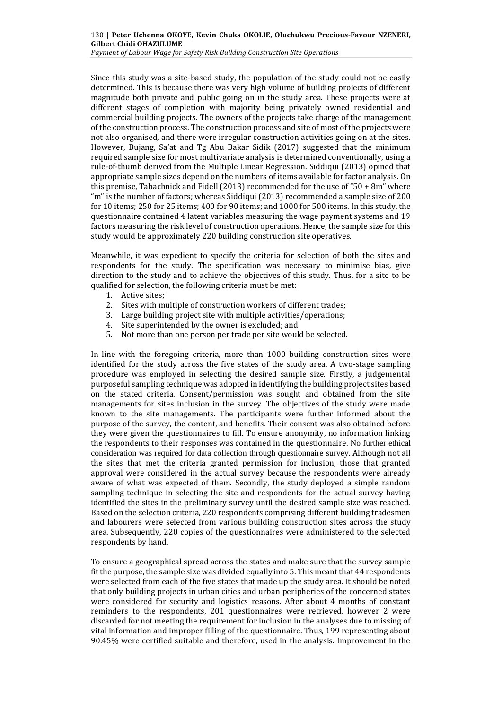*Payment of Labour Wage for Safety Risk Building Construction Site Operations*

Since this study was a site-based study, the population of the study could not be easily determined. This is because there was very high volume of building projects of different magnitude both private and public going on in the study area. These projects were at different stages of completion with majority being privately owned residential and commercial building projects. The owners of the projects take charge of the management of the construction process. The construction process and site of most of the projects were not also organised, and there were irregular construction activities going on at the sites. However, Bujang, Sa'at and Tg Abu Bakar Sidik (2017) suggested that the minimum required sample size for most multivariate analysis is determined conventionally, using a rule-of-thumb derived from the Multiple Linear Regression. Siddiqui (2013) opined that appropriate sample sizes depend on the numbers of items available for factor analysis. On this premise, Tabachnick and Fidell (2013) recommended for the use of "50 + 8m" where "m" is the number of factors; whereas Siddiqui (2013) recommended a sample size of 200 for 10 items; 250 for 25 items; 400 for 90 items; and 1000 for 500 items. In this study, the questionnaire contained 4 latent variables measuring the wage payment systems and 19 factors measuring the risk level of construction operations. Hence, the sample size for this study would be approximately 220 building construction site operatives.

Meanwhile, it was expedient to specify the criteria for selection of both the sites and respondents for the study. The specification was necessary to minimise bias, give direction to the study and to achieve the objectives of this study. Thus, for a site to be qualified for selection, the following criteria must be met:

- 1. Active sites;
- 2. Sites with multiple of construction workers of different trades;
- 3. Large building project site with multiple activities/operations;
- 4. Site superintended by the owner is excluded; and
- 5. Not more than one person per trade per site would be selected.

In line with the foregoing criteria, more than 1000 building construction sites were identified for the study across the five states of the study area. A two-stage sampling procedure was employed in selecting the desired sample size. Firstly, a judgemental purposeful sampling technique was adopted in identifying the building project sites based on the stated criteria. Consent/permission was sought and obtained from the site managements for sites inclusion in the survey. The objectives of the study were made known to the site managements. The participants were further informed about the purpose of the survey, the content, and benefits. Their consent was also obtained before they were given the questionnaires to fill. To ensure anonymity, no information linking the respondents to their responses was contained in the questionnaire. No further ethical consideration was required for data collection through questionnaire survey. Although not all the sites that met the criteria granted permission for inclusion, those that granted approval were considered in the actual survey because the respondents were already aware of what was expected of them. Secondly, the study deployed a simple random sampling technique in selecting the site and respondents for the actual survey having identified the sites in the preliminary survey until the desired sample size was reached. Based on the selection criteria, 220 respondents comprising different building tradesmen and labourers were selected from various building construction sites across the study area. Subsequently, 220 copies of the questionnaires were administered to the selected respondents by hand.

To ensure a geographical spread across the states and make sure that the survey sample fit the purpose, the sample size was divided equally into 5. This meant that 44 respondents were selected from each of the five states that made up the study area. It should be noted that only building projects in urban cities and urban peripheries of the concerned states were considered for security and logistics reasons. After about 4 months of constant reminders to the respondents, 201 questionnaires were retrieved, however 2 were discarded for not meeting the requirement for inclusion in the analyses due to missing of vital information and improper filling of the questionnaire. Thus, 199 representing about 90.45% were certified suitable and therefore, used in the analysis. Improvement in the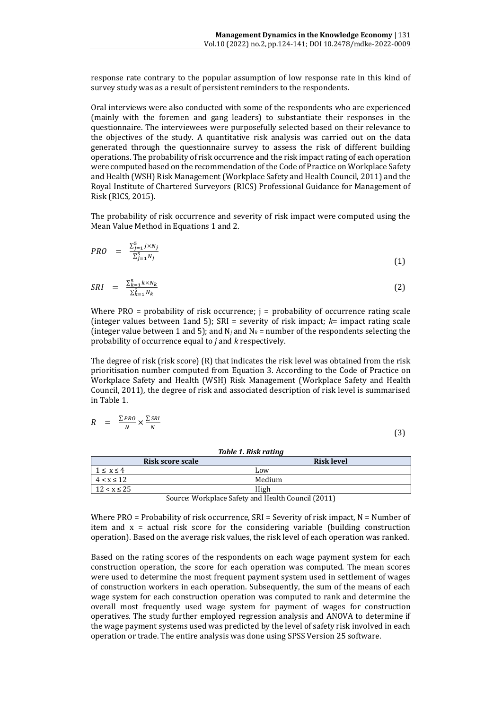response rate contrary to the popular assumption of low response rate in this kind of survey study was as a result of persistent reminders to the respondents.

Oral interviews were also conducted with some of the respondents who are experienced (mainly with the foremen and gang leaders) to substantiate their responses in the questionnaire. The interviewees were purposefully selected based on their relevance to the objectives of the study. A quantitative risk analysis was carried out on the data generated through the questionnaire survey to assess the risk of different building operations. The probability of risk occurrence and the risk impact rating of each operation were computed based on the recommendation of the Code of Practice on Workplace Safety and Health (WSH) Risk Management (Workplace Safety and Health Council, 2011) and the Royal Institute of Chartered Surveyors (RICS) Professional Guidance for Management of Risk (RICS, 2015).

The probability of risk occurrence and severity of risk impact were computed using the Mean Value Method in Equations 1 and 2.

$$
PRO = \frac{\sum_{j=1}^{5} j \times N_j}{\sum_{j=1}^{5} N_j}
$$
\n
$$
(1)
$$

$$
SRI = \frac{\sum_{k=1}^{5} k \times N_k}{\sum_{k=1}^{5} N_k} \tag{2}
$$

Where  $PRO$  = probability of risk occurrence;  $j =$  probability of occurrence rating scale (integer values between 1and 5); SRI = severity of risk impact; *k*= impact rating scale (integer value between 1 and 5); and  $N_i$  and  $N_k$  = number of the respondents selecting the probability of occurrence equal to *j* and *k* respectively.

The degree of risk (risk score) (R) that indicates the risk level was obtained from the risk prioritisation number computed from Equation 3. According to the Code of Practice on Workplace Safety and Health (WSH) Risk Management (Workplace Safety and Health Council, 2011), the degree of risk and associated description of risk level is summarised in Table 1.

$$
R = \frac{\sum PRO}{N} \times \frac{\sum SRI}{N}
$$

(3)

| Table 1. Risk rating                  |        |  |  |  |  |
|---------------------------------------|--------|--|--|--|--|
| <b>Risk level</b><br>Risk score scale |        |  |  |  |  |
| $1 \leq x \leq 4$                     | Low    |  |  |  |  |
| $4 < x \leq 12$                       | Medium |  |  |  |  |
| $12 < x \leq 25$                      | High   |  |  |  |  |

Source: Workplace Safety and Health Council (2011)

Where PRO = Probability of risk occurrence,  $SRI =$  Severity of risk impact,  $N =$  Number of item and  $x =$  actual risk score for the considering variable (building construction operation). Based on the average risk values, the risk level of each operation was ranked.

Based on the rating scores of the respondents on each wage payment system for each construction operation, the score for each operation was computed. The mean scores were used to determine the most frequent payment system used in settlement of wages of construction workers in each operation. Subsequently, the sum of the means of each wage system for each construction operation was computed to rank and determine the overall most frequently used wage system for payment of wages for construction operatives. The study further employed regression analysis and ANOVA to determine if the wage payment systems used was predicted by the level of safety risk involved in each operation or trade. The entire analysis was done using SPSS Version 25 software.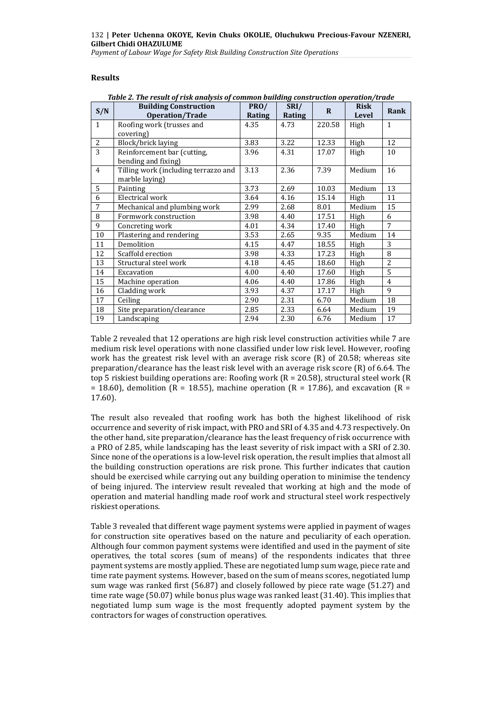*Payment of Labour Wage for Safety Risk Building Construction Site Operations*

## **Results**

|              | <b>Building Construction</b>         | PRO/   | SRI/   |              | <b>Risk</b> |                |
|--------------|--------------------------------------|--------|--------|--------------|-------------|----------------|
| S/N          | Operation/Trade                      | Rating | Rating | $\mathbf{R}$ | Level       | Rank           |
| $\mathbf{1}$ | Roofing work (trusses and            | 4.35   | 4.73   | 220.58       | High        | $\mathbf{1}$   |
|              | covering)                            |        |        |              |             |                |
| 2            | Block/brick laying                   | 3.83   | 3.22   | 12.33        | High        | 12             |
| 3            | Reinforcement bar (cutting,          | 3.96   | 4.31   | 17.07        | High        | 10             |
|              | bending and fixing)                  |        |        |              |             |                |
| 4            | Tilling work (including terrazzo and | 3.13   | 2.36   | 7.39         | Medium      | 16             |
|              | marble laying)                       |        |        |              |             |                |
| 5            | Painting                             | 3.73   | 2.69   | 10.03        | Medium      | 13             |
| 6            | Electrical work                      | 3.64   | 4.16   | 15.14        | High        | 11             |
| 7            | Mechanical and plumbing work         | 2.99   | 2.68   | 8.01         | Medium      | 15             |
| 8            | Formwork construction                | 3.98   | 4.40   | 17.51        | High        | 6              |
| 9            | Concreting work                      | 4.01   | 4.34   | 17.40        | High        | 7              |
| 10           | Plastering and rendering             | 3.53   | 2.65   | 9.35         | Medium      | 14             |
| 11           | Demolition                           | 4.15   | 4.47   | 18.55        | High        | 3              |
| 12           | Scaffold erection                    | 3.98   | 4.33   | 17.23        | High        | 8              |
| 13           | Structural steel work                | 4.18   | 4.45   | 18.60        | High        | $\overline{2}$ |
| 14           | Excavation                           | 4.00   | 4.40   | 17.60        | High        | 5              |
| 15           | Machine operation                    | 4.06   | 4.40   | 17.86        | High        | 4              |
| 16           | Cladding work                        | 3.93   | 4.37   | 17.17        | High        | 9              |
| 17           | Ceiling                              | 2.90   | 2.31   | 6.70         | Medium      | 18             |
| 18           | Site preparation/clearance           | 2.85   | 2.33   | 6.64         | Medium      | 19             |
| 19           | Landscaping                          | 2.94   | 2.30   | 6.76         | Medium      | 17             |

*Table 2. The result of risk analysis of common building construction operation/trade*

Table 2 revealed that 12 operations are high risk level construction activities while 7 are medium risk level operations with none classified under low risk level. However, roofing work has the greatest risk level with an average risk score (R) of 20.58; whereas site preparation/clearance has the least risk level with an average risk score (R) of 6.64. The top 5 riskiest building operations are: Roofing work (R = 20.58), structural steel work (R = 18.60), demolition ( $R = 18.55$ ), machine operation ( $R = 17.86$ ), and excavation ( $R = 18.60$ ) 17.60).

The result also revealed that roofing work has both the highest likelihood of risk occurrence and severity of risk impact, with PRO and SRI of 4.35 and 4.73 respectively. On the other hand, site preparation/clearance has the least frequency of risk occurrence with a PRO of 2.85, while landscaping has the least severity of risk impact with a SRI of 2.30. Since none of the operations is a low-level risk operation, the result implies that almost all the building construction operations are risk prone. This further indicates that caution should be exercised while carrying out any building operation to minimise the tendency of being injured. The interview result revealed that working at high and the mode of operation and material handling made roof work and structural steel work respectively riskiest operations.

Table 3 revealed that different wage payment systems were applied in payment of wages for construction site operatives based on the nature and peculiarity of each operation. Although four common payment systems were identified and used in the payment of site operatives, the total scores (sum of means) of the respondents indicates that three payment systems are mostly applied. These are negotiated lump sum wage, piece rate and time rate payment systems. However, based on the sum of means scores, negotiated lump sum wage was ranked first (56.87) and closely followed by piece rate wage (51.27) and time rate wage (50.07) while bonus plus wage was ranked least (31.40). This implies that negotiated lump sum wage is the most frequently adopted payment system by the contractors for wages of construction operatives.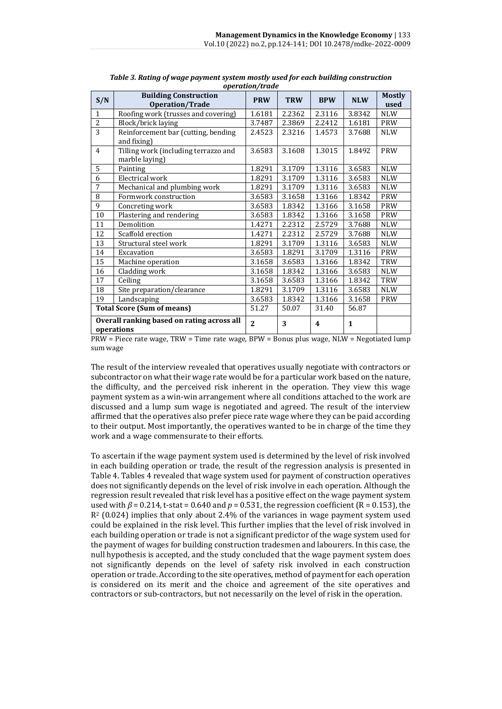| S/N            | <b>Building Construction</b><br>Operation/Trade          | <b>PRW</b>     | <b>TRW</b> | <b>BPW</b>              | <b>NLW</b>   | <b>Mostly</b><br>used |
|----------------|----------------------------------------------------------|----------------|------------|-------------------------|--------------|-----------------------|
| $\mathbf{1}$   | Roofing work (trusses and covering)                      | 1.6181         | 2.2362     | 2.3116                  | 3.8342       | <b>NLW</b>            |
| $\overline{2}$ | Block/brick laying                                       | 3.7487         | 2.3869     | 2.2412                  | 1.6181       | <b>PRW</b>            |
| $\overline{3}$ | Reinforcement bar (cutting, bending<br>and fixing)       | 2.4523         | 2.3216     | 1.4573                  | 3.7688       | <b>NLW</b>            |
| $\overline{4}$ | Tilling work (including terrazzo and<br>marble laying)   | 3.6583         | 3.1608     | 1.3015                  | 1.8492       | PRW                   |
| 5              | Painting                                                 | 1.8291         | 3.1709     | 1.3116                  | 3.6583       | <b>NLW</b>            |
| 6              | Electrical work                                          | 1.8291         | 3.1709     | 1.3116                  | 3.6583       | <b>NLW</b>            |
| 7              | Mechanical and plumbing work                             | 1.8291         | 3.1709     | 1.3116                  | 3.6583       | <b>NLW</b>            |
| 8              | Formwork construction                                    | 3.6583         | 3.1658     | 1.3166                  | 1.8342       | <b>PRW</b>            |
| 9              | Concreting work                                          | 3.6583         | 1.8342     | 1.3166                  | 3.1658       | PRW                   |
| 10             | Plastering and rendering                                 | 3.6583         | 1.8342     | 1.3166                  | 3.1658       | <b>PRW</b>            |
| 11             | Demolition                                               | 1.4271         | 2.2312     | 2.5729                  | 3.7688       | <b>NLW</b>            |
| 12             | Scaffold erection                                        | 1.4271         | 2.2312     | 2.5729                  | 3.7688       | <b>NLW</b>            |
| 13             | Structural steel work                                    | 1.8291         | 3.1709     | 1.3116                  | 3.6583       | <b>NLW</b>            |
| 14             | Excavation                                               | 3.6583         | 1.8291     | 3.1709                  | 1.3116       | <b>PRW</b>            |
| 15             | Machine operation                                        | 3.1658         | 3.6583     | 1.3166                  | 1.8342       | TRW                   |
| 16             | Cladding work                                            | 3.1658         | 1.8342     | 1.3166                  | 3.6583       | <b>NLW</b>            |
| 17             | Ceiling                                                  | 3.1658         | 3.6583     | 1.3166                  | 1.8342       | TRW                   |
| 18             | Site preparation/clearance                               | 1.8291         | 3.1709     | 1.3116                  | 3.6583       | <b>NLW</b>            |
| 19             | Landscaping                                              | 3.6583         | 1.8342     | 1.3166                  | 3.1658       | <b>PRW</b>            |
|                | <b>Total Score (Sum of means)</b>                        | 51.27          | 50.07      | 31.40                   | 56.87        |                       |
|                | Overall ranking based on rating across all<br>operations | $\overline{2}$ | 3          | $\overline{\mathbf{4}}$ | $\mathbf{1}$ |                       |

*Table 3. Rating of wage payment system mostly used for each building construction operation/trade*

PRW = Piece rate wage, TRW = Time rate wage, BPW = Bonus plus wage, NLW = Negotiated lump sum wage

The result of the interview revealed that operatives usually negotiate with contractors or subcontractor on what their wage rate would be for a particular work based on the nature, the difficulty, and the perceived risk inherent in the operation. They view this wage payment system as a win-win arrangement where all conditions attached to the work are discussed and a lump sum wage is negotiated and agreed. The result of the interview affirmed that the operatives also prefer piece rate wage where they can be paid according to their output. Most importantly, the operatives wanted to be in charge of the time they work and a wage commensurate to their efforts.

To ascertain if the wage payment system used is determined by the level of risk involved in each building operation or trade, the result of the regression analysis is presented in Table 4. Tables 4 revealed that wage system used for payment of construction operatives does not significantly depends on the level of risk involve in each operation. Although the regression result revealed that risk level has a positive effect on the wage payment system used with *β* = 0.214, t-stat = 0.640 and *p* = 0.531, the regression coefficient (R = 0.153), the R<sup>2</sup> (0.024) implies that only about 2.4% of the variances in wage payment system used could be explained in the risk level. This further implies that the level of risk involved in each building operation or trade is not a significant predictor of the wage system used for the payment of wages for building construction tradesmen and labourers. In this case, the null hypothesis is accepted, and the study concluded that the wage payment system does not significantly depends on the level of safety risk involved in each construction operation or trade. According to the site operatives, method of payment for each operation is considered on its merit and the choice and agreement of the site operatives and contractors or sub-contractors, but not necessarily on the level of risk in the operation.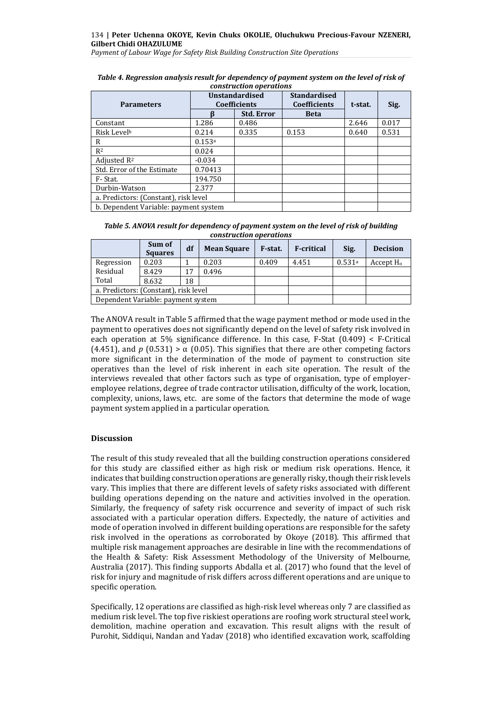*Payment of Labour Wage for Safety Risk Building Construction Site Operations*

| <b>Parameters</b>                     | <b>Unstandardised</b><br><b>Coefficients</b> |                   | <b>Standardised</b><br><b>Coefficients</b> | t-stat. | Sig.  |
|---------------------------------------|----------------------------------------------|-------------------|--------------------------------------------|---------|-------|
|                                       |                                              | <b>Std. Error</b> | <b>Beta</b>                                |         |       |
| Constant                              | 1.286                                        | 0.486             |                                            | 2.646   | 0.017 |
| Risk Levelb                           | 0.214                                        | 0.335             | 0.153                                      | 0.640   | 0.531 |
| R                                     | 0.153a                                       |                   |                                            |         |       |
| $R^2$                                 | 0.024                                        |                   |                                            |         |       |
| Adjusted R <sup>2</sup>               | $-0.034$                                     |                   |                                            |         |       |
| Std. Error of the Estimate            | 0.70413                                      |                   |                                            |         |       |
| F-Stat.                               | 194.750                                      |                   |                                            |         |       |
| Durbin-Watson                         | 2.377                                        |                   |                                            |         |       |
| a. Predictors: (Constant), risk level |                                              |                   |                                            |         |       |
| b. Dependent Variable: payment system |                                              |                   |                                            |         |       |

| Table 4. Regression analysis result for dependency of payment system on the level of risk of |
|----------------------------------------------------------------------------------------------|
| construction operations                                                                      |

| Table 5. ANOVA result for dependency of payment system on the level of risk of building |
|-----------------------------------------------------------------------------------------|
| construction operations                                                                 |

|                                       | Sum of<br><b>Squares</b> | df | <b>Mean Square</b> | F-stat. | <b>F-critical</b> | Sig.   | <b>Decision</b> |
|---------------------------------------|--------------------------|----|--------------------|---------|-------------------|--------|-----------------|
| Regression                            | 0.203                    |    | 0.203              | 0.409   | 4.451             | 0.531a | Accept $H_0$    |
| Residual                              | 8.429                    | 17 | 0.496              |         |                   |        |                 |
| Total                                 | 8.632                    | 18 |                    |         |                   |        |                 |
| a. Predictors: (Constant), risk level |                          |    |                    |         |                   |        |                 |
| Dependent Variable: payment system    |                          |    |                    |         |                   |        |                 |

The ANOVA result in Table 5 affirmed that the wage payment method or mode used in the payment to operatives does not significantly depend on the level of safety risk involved in each operation at 5% significance difference. In this case, F-Stat  $(0.409) < F$ -Critical (4.451), and *p* (0.531) >  $\alpha$  (0.05). This signifies that there are other competing factors more significant in the determination of the mode of payment to construction site operatives than the level of risk inherent in each site operation. The result of the interviews revealed that other factors such as type of organisation, type of employeremployee relations, degree of trade contractor utilisation, difficulty of the work, location, complexity, unions, laws, etc. are some of the factors that determine the mode of wage payment system applied in a particular operation.

## **Discussion**

The result of this study revealed that all the building construction operations considered for this study are classified either as high risk or medium risk operations. Hence, it indicates that building construction operations are generally risky, though their risk levels vary. This implies that there are different levels of safety risks associated with different building operations depending on the nature and activities involved in the operation. Similarly, the frequency of safety risk occurrence and severity of impact of such risk associated with a particular operation differs. Expectedly, the nature of activities and mode of operation involved in different building operations are responsible for the safety risk involved in the operations as corroborated by Okoye (2018). This affirmed that multiple risk management approaches are desirable in line with the recommendations of the Health & Safety: Risk Assessment Methodology of the University of Melbourne, Australia (2017). This finding supports Abdalla et al. (2017) who found that the level of risk for injury and magnitude of risk differs across different operations and are unique to specific operation.

Specifically, 12 operations are classified as high-risk level whereas only 7 are classified as medium risk level. The top five riskiest operations are roofing work structural steel work, demolition, machine operation and excavation. This result aligns with the result of Purohit, Siddiqui, Nandan and Yadav (2018) who identified excavation work, scaffolding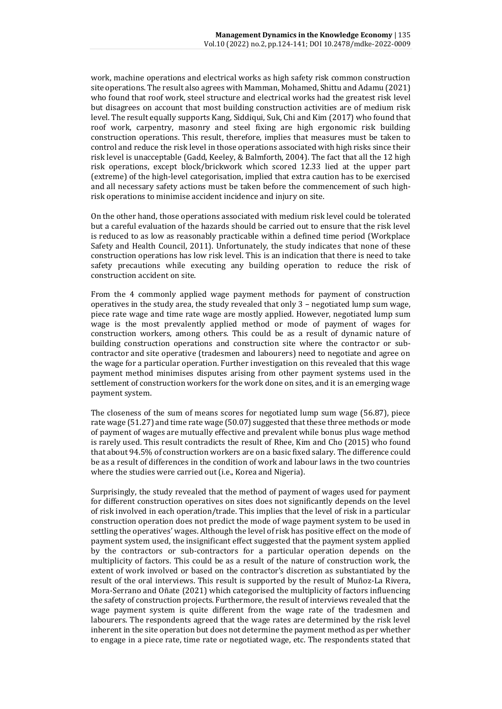work, machine operations and electrical works as high safety risk common construction site operations. The result also agrees with Mamman, Mohamed, Shittu and Adamu (2021) who found that roof work, steel structure and electrical works had the greatest risk level but disagrees on account that most building construction activities are of medium risk level. The result equally supports Kang, Siddiqui, Suk, Chi and Kim (2017) who found that roof work, carpentry, masonry and steel fixing are high ergonomic risk building construction operations. This result, therefore, implies that measures must be taken to control and reduce the risk level in those operations associated with high risks since their risk level is unacceptable (Gadd, Keeley, & Balmforth, 2004). The fact that all the 12 high risk operations, except block/brickwork which scored 12.33 lied at the upper part (extreme) of the high-level categorisation, implied that extra caution has to be exercised and all necessary safety actions must be taken before the commencement of such highrisk operations to minimise accident incidence and injury on site.

On the other hand, those operations associated with medium risk level could be tolerated but a careful evaluation of the hazards should be carried out to ensure that the risk level is reduced to as low as reasonably practicable within a defined time period (Workplace Safety and Health Council, 2011). Unfortunately, the study indicates that none of these construction operations has low risk level. This is an indication that there is need to take safety precautions while executing any building operation to reduce the risk of construction accident on site.

From the 4 commonly applied wage payment methods for payment of construction operatives in the study area, the study revealed that only 3 – negotiated lump sum wage, piece rate wage and time rate wage are mostly applied. However, negotiated lump sum wage is the most prevalently applied method or mode of payment of wages for construction workers, among others. This could be as a result of dynamic nature of building construction operations and construction site where the contractor or subcontractor and site operative (tradesmen and labourers) need to negotiate and agree on the wage for a particular operation. Further investigation on this revealed that this wage payment method minimises disputes arising from other payment systems used in the settlement of construction workers for the work done on sites, and it is an emerging wage payment system.

The closeness of the sum of means scores for negotiated lump sum wage (56.87), piece rate wage (51.27) and time rate wage (50.07) suggested that these three methods or mode of payment of wages are mutually effective and prevalent while bonus plus wage method is rarely used. This result contradicts the result of Rhee, Kim and Cho (2015) who found that about 94.5% of construction workers are on a basic fixed salary. The difference could be as a result of differences in the condition of work and labour laws in the two countries where the studies were carried out (i.e., Korea and Nigeria).

Surprisingly, the study revealed that the method of payment of wages used for payment for different construction operatives on sites does not significantly depends on the level of risk involved in each operation/trade. This implies that the level of risk in a particular construction operation does not predict the mode of wage payment system to be used in settling the operatives' wages. Although the level of risk has positive effect on the mode of payment system used, the insignificant effect suggested that the payment system applied by the contractors or sub-contractors for a particular operation depends on the multiplicity of factors. This could be as a result of the nature of construction work, the extent of work involved or based on the contractor's discretion as substantiated by the result of the oral interviews. This result is supported by the result of Muñoz-La Rivera, Mora-Serrano and Oñate (2021) which categorised the multiplicity of factors influencing the safety of construction projects. Furthermore, the result of interviews revealed that the wage payment system is quite different from the wage rate of the tradesmen and labourers. The respondents agreed that the wage rates are determined by the risk level inherent in the site operation but does not determine the payment method as per whether to engage in a piece rate, time rate or negotiated wage, etc. The respondents stated that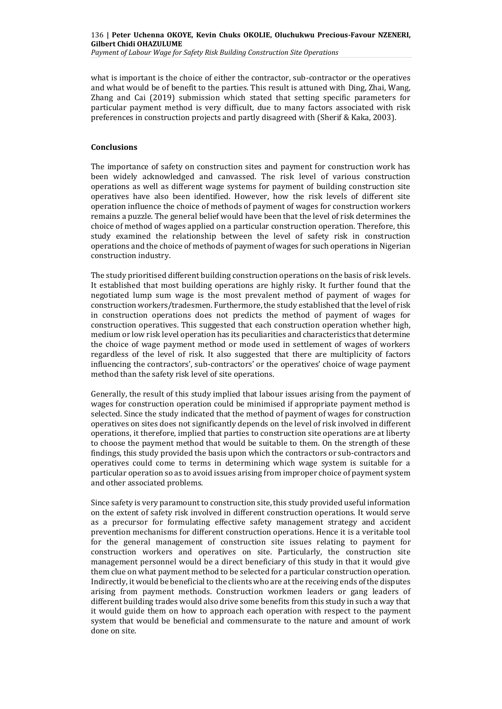*Payment of Labour Wage for Safety Risk Building Construction Site Operations*

what is important is the choice of either the contractor, sub-contractor or the operatives and what would be of benefit to the parties. This result is attuned with Ding, Zhai, Wang, Zhang and Cai (2019) submission which stated that setting specific parameters for particular payment method is very difficult, due to many factors associated with risk preferences in construction projects and partly disagreed with (Sherif & Kaka, 2003).

## **Conclusions**

The importance of safety on construction sites and payment for construction work has been widely acknowledged and canvassed. The risk level of various construction operations as well as different wage systems for payment of building construction site operatives have also been identified. However, how the risk levels of different site operation influence the choice of methods of payment of wages for construction workers remains a puzzle. The general belief would have been that the level of risk determines the choice of method of wages applied on a particular construction operation. Therefore, this study examined the relationship between the level of safety risk in construction operations and the choice of methods of payment of wages for such operations in Nigerian construction industry.

The study prioritised different building construction operations on the basis of risk levels. It established that most building operations are highly risky. It further found that the negotiated lump sum wage is the most prevalent method of payment of wages for construction workers/tradesmen. Furthermore, the study established that the level of risk in construction operations does not predicts the method of payment of wages for construction operatives. This suggested that each construction operation whether high, medium or low risk level operation has its peculiarities and characteristics that determine the choice of wage payment method or mode used in settlement of wages of workers regardless of the level of risk. It also suggested that there are multiplicity of factors influencing the contractors', sub-contractors' or the operatives' choice of wage payment method than the safety risk level of site operations.

Generally, the result of this study implied that labour issues arising from the payment of wages for construction operation could be minimised if appropriate payment method is selected. Since the study indicated that the method of payment of wages for construction operatives on sites does not significantly depends on the level of risk involved in different operations, it therefore, implied that parties to construction site operations are at liberty to choose the payment method that would be suitable to them. On the strength of these findings, this study provided the basis upon which the contractors or sub-contractors and operatives could come to terms in determining which wage system is suitable for a particular operation so as to avoid issues arising from improper choice of payment system and other associated problems.

Since safety is very paramount to construction site, this study provided useful information on the extent of safety risk involved in different construction operations. It would serve as a precursor for formulating effective safety management strategy and accident prevention mechanisms for different construction operations. Hence it is a veritable tool for the general management of construction site issues relating to payment for construction workers and operatives on site. Particularly, the construction site management personnel would be a direct beneficiary of this study in that it would give them clue on what payment method to be selected for a particular construction operation. Indirectly, it would be beneficial to the clients who are at the receiving ends of the disputes arising from payment methods. Construction workmen leaders or gang leaders of different building trades would also drive some benefits from this study in such a way that it would guide them on how to approach each operation with respect to the payment system that would be beneficial and commensurate to the nature and amount of work done on site.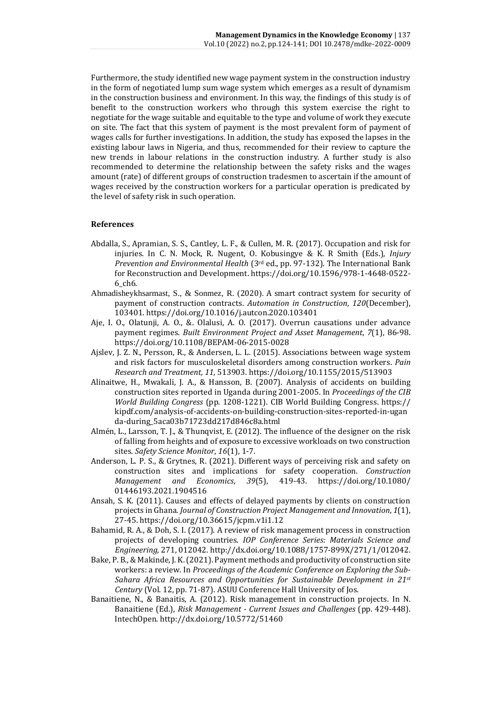Furthermore, the study identified new wage payment system in the construction industry in the form of negotiated lump sum wage system which emerges as a result of dynamism in the construction business and environment. In this way, the findings of this study is of benefit to the construction workers who through this system exercise the right to negotiate for the wage suitable and equitable to the type and volume of work they execute on site. The fact that this system of payment is the most prevalent form of payment of wages calls for further investigations. In addition, the study has exposed the lapses in the existing labour laws in Nigeria, and thus, recommended for their review to capture the new trends in labour relations in the construction industry. A further study is also recommended to determine the relationship between the safety risks and the wages amount (rate) of different groups of construction tradesmen to ascertain if the amount of wages received by the construction workers for a particular operation is predicated by the level of safety risk in such operation.

## **References**

- Abdalla, S., Apramian, S. S., Cantley, L. F., & Cullen, M. R. (2017). Occupation and risk for injuries. In C. N. Mock, R. Nugent, O. Kobusingye & K. R Smith (Eds.), *Injury Prevention and Environmental Health* (3rd ed., pp. 97-132). The International Bank for Reconstruction and Development. [https://doi.org/10.1596/978-1-4648-0522-](https://doi.org/10.1596/978-1-4648-0522-6_ch6) [6\\_ch6.](https://doi.org/10.1596/978-1-4648-0522-6_ch6)
- Ahmadisheykhsarmast, S., & Sonmez, R. (2020). A smart contract system for security of payment of construction contracts. *Automation in Construction*, *120*(December), 103401.<https://doi.org/10.1016/j.autcon.2020.103401>
- Aje, I. O., Olatunji, A. O., &. Olalusi, A. O. (2017). Overrun causations under advance payment regimes. *Built Environment Project and Asset Management*, *7*(1), 86-98. <https://doi.org/10.1108/BEPAM-06-2015-0028>
- Ajslev, J. Z. N., Persson, R., & Andersen, L. L. (2015). Associations between wage system and risk factors for musculoskeletal disorders among construction workers. *Pain Research and Treatment, 11*, 513903[. https://doi.org/10.1155/2015/513903](https://doi.org/10.1155/2015/513903)
- Alinaitwe, H., Mwakali, J. A., & Hansson, B. (2007). Analysis of accidents on building construction sites reported in Uganda during 2001-2005. In *Proceedings of the CIB World Building Congress* (pp. 1208-1221). CIB World Building Congress. [https://](https://kipdf.com/analysis-of-accidents-on-building-construction-sites-reported-in-uganda-during_5aca03b71723dd217d846c8a.html) [kipdf.com/analysis-of-accidents-on-building-construction-sites-reported-in-ugan](https://kipdf.com/analysis-of-accidents-on-building-construction-sites-reported-in-uganda-during_5aca03b71723dd217d846c8a.html) [da-during\\_5aca03b71723dd217d846c8a.html](https://kipdf.com/analysis-of-accidents-on-building-construction-sites-reported-in-uganda-during_5aca03b71723dd217d846c8a.html)
- Almén, L., Larsson, T. J., & Thunqvist, E. (2012). The influence of the designer on the risk of falling from heights and of exposure to excessive workloads on two construction sites. *Safety Science Monitor*, *16*(1), 1-7.
- Anderson, L. P. S., & Grytnes, R. (2021). Different ways of perceiving risk and safety on construction sites and implications for safety cooperation. *Construction Management and Economics*, *39*(5), 419-43. [https://doi.org/10.1080/](https://doi.org/10.1080/01446193.2021.1904516) [01446193.2021.1904516](https://doi.org/10.1080/01446193.2021.1904516)
- Ansah, S. K. (2011). Causes and effects of delayed payments by clients on construction projects in Ghana. *Journal of Construction Project Management and Innovation*, *1*(1), 27-45.<https://doi.org/10.36615/jcpm.v1i1.12>
- Bahamid, R. A., & Doh, S. I. (2017). A review of risk management process in construction projects of developing countries. *IOP Conference Series: Materials Science and Engineering,* 271, 012042[. http://dx.doi.org/10.1088/1757-899X/271/1/012042.](http://dx.doi.org/10.1088/1757-899X/271/1/012042)
- Bake, P. B., & Makinde, J. K. (2021). Payment methods and productivity of construction site workers: a review. In *Proceedings of the Academic Conference on Exploring the Sub-Sahara Africa Resources and Opportunities for Sustainable Development in 21st Century* (Vol. 12, pp. 71-87). ASUU Conference Hall University of Jos.
- Banaitiene, N., & Banaitis, A. (2012). Risk management in construction projects. In N. Banaitiene (Ed.), *Risk Management - Current Issues and Challenges* (pp. 429-448). IntechOpen.<http://dx.doi.org/10.5772/51460>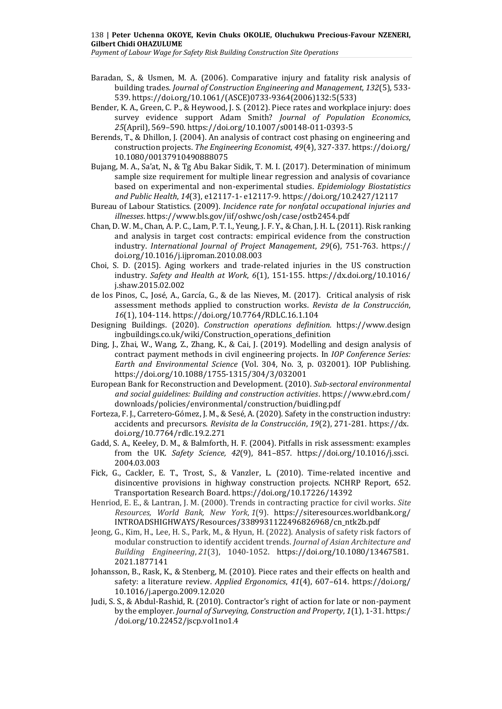*Payment of Labour Wage for Safety Risk Building Construction Site Operations*

- Baradan, S., & Usmen, M. A. (2006). Comparative injury and fatality risk analysis of building trades. *Journal of Construction Engineering and Management*, *132*(5), 533- 539. [https://doi.org/10.1061/\(ASCE\)0733-9364\(2006\)132:5\(533\)](https://doi.org/10.1061/(ASCE)0733-9364(2006)132:5(533))
- Bender, K. A., Green, C. P., & Heywood, J. S. (2012). Piece rates and workplace injury: does survey evidence support Adam Smith? *Journal of Population Economics*, *25*(April), 569–590[. https://doi.org/10.1007/s00148-011-0393-5](https://doi.org/10.1007/s00148-011-0393-5)
- Berends, T., & Dhillon, J. (2004). An analysis of contract cost phasing on engineering and construction projects. *The Engineering Economist, 49*(4), 327-337[. https://doi.org/](https://doi.org/10.1080/00137910490888075) [10.1080/00137910490888075](https://doi.org/10.1080/00137910490888075)
- Bujang, M. A., Sa'at, N., & Tg Abu Bakar Sidik, T. M. I. (2017). Determination of minimum sample size requirement for multiple linear regression and analysis of covariance based on experimental and non-experimental studies. *Epidemiology Biostatistics and Public Health*, *14*(3), e12117-1- e12117-9[. https://doi.org/10.2427/12117](https://doi.org/10.2427/12117)
- Bureau of Labour Statistics. (2009). *Incidence rate for nonfatal occupational injuries and illnesses*[. https://www.bls.gov/iif/oshwc/osh/case/ostb2454.pdf](https://www.bls.gov/iif/oshwc/osh/case/ostb2454.pdf)
- Chan, D. W. M., Chan, A. P. C., Lam, P. T. I., Yeung, J. F. Y., & Chan, J. H. L. (2011). Risk ranking and analysis in target cost contracts: empirical evidence from the construction industry. *International Journal of Project Management*, *29*(6), 751-763. [https://](https://doi.org/10.1016/j.ijproman.2010.08.003) [doi.org/10.1016/j.ijproman.2010.08.003](https://doi.org/10.1016/j.ijproman.2010.08.003)
- Choi, S. D. (2015). Aging workers and trade-related injuries in the US construction industry. *Safety and Health at Work*, *6*(1), 151-155. [https://dx.doi.org/10.1016/](https://dx.doi.org/10.1016/j.shaw.2015.02.002) [j.shaw.2015.02.002](https://dx.doi.org/10.1016/j.shaw.2015.02.002)
- de los Pinos, C., José, A., García, G., & de las Nieves, M. (2017). Critical analysis of risk assessment methods applied to construction works. *Revista de la Construcción*, *16*(1), 104-114.<https://doi.org/10.7764/RDLC.16.1.104>
- Designing Buildings. (2020). *Construction operations definition.* [https://www.design](https://www.designingbuildings.co.uk/wiki/Construction_operations_definition) [ingbuildings.co.uk/wiki/Construction\\_operations\\_definition](https://www.designingbuildings.co.uk/wiki/Construction_operations_definition)
- Ding, J., Zhai, W., Wang, Z., Zhang, K., & Cai, J. (2019). Modelling and design analysis of contract payment methods in civil engineering projects. In *IOP Conference Series: Earth and Environmental Science* (Vol. 304, No. 3, p. 032001). IOP Publishing. <https://doi.org/10.1088/1755-1315/304/3/032001>
- European Bank for Reconstruction and Development. (2010). *Sub-sectoral environmental and social guidelines: Building and construction activities*. [https://www.ebrd.com/](https://www.ebrd.com/downloads/policies/environmental/construction/buidling.pdf) [downloads/policies/environmental/construction/buidling.pdf](https://www.ebrd.com/downloads/policies/environmental/construction/buidling.pdf)
- Forteza, F. J., Carretero-Gómez, J. M., & Sesé, A. (2020). Safety in the construction industry: accidents and precursors. *Revisita de la Construcción*, *19*(2), 271-281. [https://dx.](https://‌/‌dx.%20‌doi.org/‌10.7764/‌rdlc.19.2.271) [doi.org/10.7764/rdlc.19.2.271](https://‌/‌dx.%20‌doi.org/‌10.7764/‌rdlc.19.2.271)
- Gadd, S. A., Keeley, D. M., & Balmforth, H. F. (2004). Pitfalls in risk assessment: examples from the UK. *Safety Science, 42*(9), 841–857. [https://doi.org/10.1016/j.ssci.](https://doi.org/10.1016/j.ssci.2004.03.003) [2004.03.003](https://doi.org/10.1016/j.ssci.2004.03.003)
- Fick, G., Cackler, E. T., Trost, S., & Vanzler, L. (2010). Time-related incentive and disincentive provisions in highway construction projects. NCHRP Report, 652. Transportation Research Board. <https://doi.org/10.17226/14392>
- Henriod, E. E., & Lantran, J. M. (2000). Trends in contracting practice for civil works. *Site Resources, World Bank, New York*, *1*(9). [https://siteresources.worldbank.org/](https://siteresources.worldbank.org/INTROADSHIGHWAYS/Resources/3389931122496826968/cn_ntk2b.pdf) [INTROADSHIGHWAYS/Resources/3389931122496826968/cn\\_ntk2b.pdf](https://siteresources.worldbank.org/INTROADSHIGHWAYS/Resources/3389931122496826968/cn_ntk2b.pdf)
- Jeong, G., Kim, H., Lee, H. S., Park, M., & Hyun, H. (2022). Analysis of safety risk factors of modular construction to identify accident trends. *Journal of Asian Architecture and Building Engineering*, *21*(3), 1040-1052. [https://doi.org/10.1080/13467581.](https://doi.org/10.1080/13467581.2021.1877141) [2021.1877141](https://doi.org/10.1080/13467581.2021.1877141)
- Johansson, B., Rask, K., & Stenberg, M. (2010). Piece rates and their effects on health and safety: a literature review. *Applied Ergonomics*, *41*(4), 607–614. [https://doi.org/](https://doi.org/10.1016/j.apergo.2009.12.020) [10.1016/j.apergo.2009.12.020](https://doi.org/10.1016/j.apergo.2009.12.020)
- Judi, S. S., & Abdul-Rashid, R. (2010). Contractor's right of action for late or non-payment by the employer. *Journal of Surveying, Construction and Property*, *1*(1), 1-31. [https:/](https://doi.org/10.22452/jscp.vol1no1.4) [/doi.org/10.22452/jscp.vol1no1.4](https://doi.org/10.22452/jscp.vol1no1.4)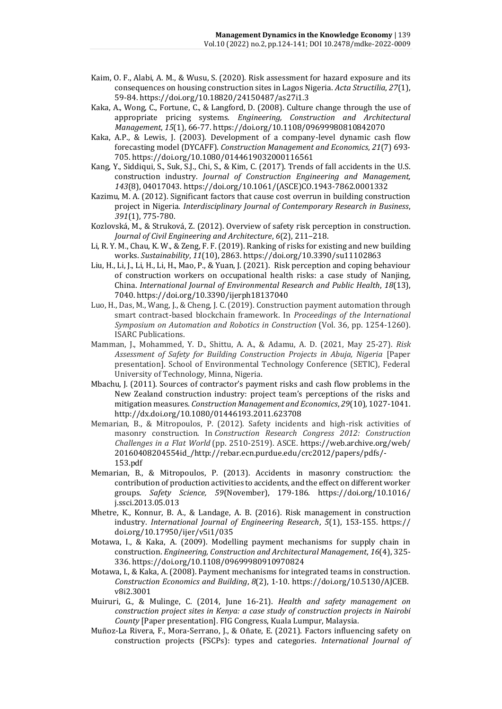- Kaim, O. F., Alabi, A. M., & Wusu, S. (2020). Risk assessment for hazard exposure and its consequences on housing construction sites in Lagos Nigeria. *Acta Structilia*, *27*(1), 59-84.<https://doi.org/10.18820/24150487/as27i1.3>
- Kaka, A., Wong, C., Fortune, C., & Langford, D. (2008). Culture change through the use of appropriate pricing systems. *Engineering, Construction and Architectural Management*, *15*(1), 66-77.<https://doi.org/10.1108/09699980810842070>
- Kaka, A.P., & Lewis, J. (2003). Development of a company-level dynamic cash flow forecasting model (DYCAFF). *Construction Management and Economics*, *21*(7) 693- 705.<https://doi.org/10.1080/0144619032000116561>
- Kang, Y., Siddiqui, S., Suk, S.J., Chi, S., & Kim, C. (2017). Trends of fall accidents in the U.S. construction industry. *Journal of Construction Engineering and Management, 143*(8), 04017043. [https://doi.org/10.1061/\(ASCE\)CO.1943-7862.0001332](https://doi.org/10.1061/(ASCE)CO.1943-7862.0001332)
- Kazimu, M. A. (2012). Significant factors that cause cost overrun in building construction project in Nigeria. *Interdisciplinary Journal of Contemporary Research in Business*, *391*(1), 775-780.
- Kozlovská, M., & Struková, Z. (2012). Overview of safety risk perception in construction. *Journal of Civil Engineering and Architecture*, *6*(2), 211–218.
- Li, R. Y. M., Chau, K. W., & Zeng, F. F. (2019). Ranking of risks for existing and new building works. *Sustainability*, *11*(10), 2863.<https://doi.org/10.3390/su11102863>
- Liu, H., Li, J., Li, H., Li, H., Mao, P., & Yuan, J. (2021). Risk perception and coping behaviour of construction workers on occupational health risks: a case study of Nanjing, China. *International Journal of Environmental Research and Public Health*, *18*(13), 7040[. https://doi.org/10.3390/ijerph18137040](https://doi.org/10.3390/ijerph18137040)
- Luo, H., Das, M., Wang, J., & Cheng, J. C. (2019). Construction payment automation through smart contract-based blockchain framework. In *Proceedings of the International Symposium on Automation and Robotics in Construction* (Vol. 36, pp. 1254-1260). ISARC Publications.
- Mamman, J., Mohammed, Y. D., Shittu, A. A., & Adamu, A. D. (2021, May 25-27). *Risk Assessment of Safety for Building Construction Projects in Abuja, Nigeria* [Paper presentation]. School of Environmental Technology Conference (SETIC), Federal University of Technology, Minna, Nigeria.
- Mbachu, J. (2011). Sources of contractor's payment risks and cash flow problems in the New Zealand construction industry: project team's perceptions of the risks and mitigation measures. *Construction Management and Economics*, *29*(10), 1027-1041. <http://dx.doi.org/10.1080/01446193.2011.623708>
- Memarian, B., & Mitropoulos, P. (2012). Safety incidents and high-risk activities of masonry construction. In *Construction Research Congress 2012: Construction Challenges in a Flat World* (pp. 2510-2519). ASCE. [https://web.archive.org/web/](https://‌/‌web.archive.org/‌web/‌20160408204554id_/‌http:/‌/‌rebar.ecn.purdue.edu/‌crc2012/‌papers/‌pdfs/‌-153.pdf) [20160408204554id\\_/http://rebar.ecn.purdue.edu/crc2012/papers/pdfs/-](https://‌/‌web.archive.org/‌web/‌20160408204554id_/‌http:/‌/‌rebar.ecn.purdue.edu/‌crc2012/‌papers/‌pdfs/‌-153.pdf) [153.pdf](https://‌/‌web.archive.org/‌web/‌20160408204554id_/‌http:/‌/‌rebar.ecn.purdue.edu/‌crc2012/‌papers/‌pdfs/‌-153.pdf)
- Memarian, B., & Mitropoulos, P. (2013). Accidents in masonry construction: the contribution of production activities to accidents, and the effect on different worker groups. *Safety Science, 59*(November), 179-186. [https://doi.org/10.1016/](https://doi.org/10.1016/j.ssci.2013.05.013) [j.ssci.2013.05.013](https://doi.org/10.1016/j.ssci.2013.05.013)
- Mhetre, K., Konnur, B. A., & Landage, A. B. (2016). Risk management in construction industry. *International Journal of Engineering Research*, *5*(1), 153-155. [https://](https://doi.org/10.17950/ijer/v5i1/035) [doi.org/10.17950/ijer/v5i1/035](https://doi.org/10.17950/ijer/v5i1/035)
- Motawa, I., & Kaka, A. (2009). Modelling payment mechanisms for supply chain in construction. *Engineering, Construction and Architectural Management*, *16*(4), 325- 336.<https://doi.org/10.1108/09699980910970824>
- Motawa, I., & Kaka, A. (2008). Payment mechanisms for integrated teams in construction. *Construction Economics and Building*, *8*(2), 1-10. [https://doi.org/10.5130/AJCEB.](https://doi.org/10.5130/AJCEB.v8i2.3001) [v8i2.3001](https://doi.org/10.5130/AJCEB.v8i2.3001)
- Muiruri, G., & Mulinge, C. (2014, June 16-21). *Health and safety management on construction project sites in Kenya: a case study of construction projects in Nairobi County* [Paper presentation]. FIG Congress, Kuala Lumpur, Malaysia.
- Muñoz-La Rivera, F., Mora-Serrano, J., & Oñate, E. (2021). Factors influencing safety on construction projects (FSCPs): types and categories. *International Journal of*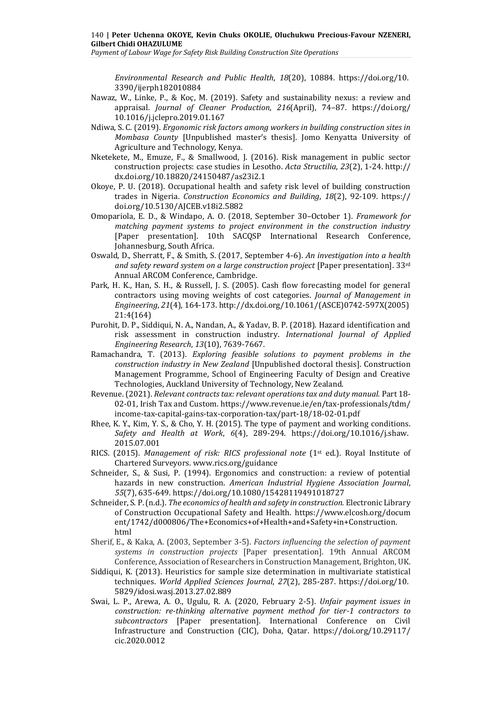*Payment of Labour Wage for Safety Risk Building Construction Site Operations*

*Environmental Research and Public Health*, *18*(20), 10884. [https://doi.org/10.](https://doi.org/10.3390/ijerph182010884) [3390/ijerph182010884](https://doi.org/10.3390/ijerph182010884)

- Nawaz, W., Linke, P., & Koҫ, M. (2019). Safety and sustainability nexus: a review and appraisal. *Journal of Cleaner Production*, *216*(April), 74–87. [https://doi.org/](https://doi.org/10.1016/j.jclepro.2019.01.167) [10.1016/j.jclepro.2019.01.167](https://doi.org/10.1016/j.jclepro.2019.01.167)
- Ndiwa, S. C. (2019). *Ergonomic risk factors among workers in building construction sites in Mombasa County* [Unpublished master's thesis]. Jomo Kenyatta University of Agriculture and Technology, Kenya.
- Nketekete, M., Emuze, F., & Smallwood, J. (2016). Risk management in public sector construction projects: case studies in Lesotho. *Acta Structilia*, *23*(2), 1-24. [http://](http://dx.doi.org/10.18820/24150487/as23i2.1) [dx.doi.org/10.18820/24150487/as23i2.1](http://dx.doi.org/10.18820/24150487/as23i2.1)
- Okoye, P. U. (2018). Occupational health and safety risk level of building construction trades in Nigeria. *Construction Economics and Building*, *18*(2), 92-109. [https://](https://doi.org/10.5130/AJCEB.v18i2.5882) [doi.org/10.5130/AJCEB.v18i2.5882](https://doi.org/10.5130/AJCEB.v18i2.5882)
- Omopariola, E. D., & Windapo, A. O. (2018, September 30–October 1). *Framework for matching payment systems to project environment in the construction industry* [Paper presentation]. 10th SACQSP International Research Conference*,* Johannesburg, South Africa.
- Oswald, D., Sherratt, F., & Smith, S. (2017, September 4-6). *An investigation into a health and safety reward system on a large construction project* [Paper presentation]. 33rd Annual ARCOM Conference, Cambridge.
- Park, H. K., Han, S. H., & Russell, J. S. (2005). Cash flow forecasting model for general contractors using moving weights of cost categories. *Journal of Management in Engineering*, *21*(4), 164-173. [http://dx.doi.org/10.1061/\(ASCE\)0742-597X\(2005\)](http://‌/‌dx.doi.org/‌10.1061/‌(ASCE)0742-597X‌(2005)%20‌21:4(164)) [21:4\(164\)](http://‌/‌dx.doi.org/‌10.1061/‌(ASCE)0742-597X‌(2005)%20‌21:4(164))
- Purohit, D. P., Siddiqui, N. A., Nandan, A., & Yadav, B. P. (2018). Hazard identification and risk assessment in construction industry. *International Journal of Applied Engineering Research*, *13*(10), 7639-7667.
- Ramachandra, T. (2013). *Exploring feasible solutions to payment problems in the construction industry in New Zealand* [Unpublished doctoral thesis]. Construction Management Programme, School of Engineering Faculty of Design and Creative Technologies, Auckland University of Technology, New Zealand.
- Revenue. (2021). *Relevant contracts tax: relevant operations tax and duty manual.* Part 18- 02-01, Irish Tax and Custom. [https://www.revenue.ie/en/tax-professionals/tdm/](https://www.revenue.ie/en/tax-professionals/tdm/income-tax-capital-gains-tax-corporation-tax/part-18/18-02-01.pdf) [income-tax-capital-gains-tax-corporation-tax/part-18/18-02-01.pdf](https://www.revenue.ie/en/tax-professionals/tdm/income-tax-capital-gains-tax-corporation-tax/part-18/18-02-01.pdf)
- Rhee, K. Y., Kim, Y. S., & Cho, Y. H. (2015). The type of payment and working conditions. *Safety and Health at Work*, *6*(4), 289-294. [https://doi.org/10.1016/j.shaw.](https://doi.org/10.1016/j.shaw.2015.07.001) [2015.07.001](https://doi.org/10.1016/j.shaw.2015.07.001)
- RICS. (2015). *Management of risk: RICS professional note* (1st ed.). Royal Institute of Chartered Surveyors. [www.rics.org/guidance](http://www.rics.org/guidance)
- Schneider, S., & Susi, P. (1994). Ergonomics and construction: a review of potential hazards in new construction. *American Industrial Hygiene Association Journal*, *55*(7), 635-649.<https://doi.org/10.1080/15428119491018727>
- Schneider, S. P. (n.d.). *The economics of health and safety in construction.* Electronic Library of Construction Occupational Safety and Health. [https://www.elcosh.org/docum](https://www.elcosh.org/document/1742/d000806/The+Economics+of+Health+and+Safety+in+Construction.html) [ent/1742/d000806/The+Economics+of+Health+and+Safety+in+Construction.](https://www.elcosh.org/document/1742/d000806/The+Economics+of+Health+and+Safety+in+Construction.html) [html](https://www.elcosh.org/document/1742/d000806/The+Economics+of+Health+and+Safety+in+Construction.html)
- Sherif, E., & Kaka, A. (2003, September 3-5). *Factors influencing the selection of payment systems in construction projects* [Paper presentation]. 19th Annual ARCOM Conference, Association of Researchers in Construction Management, Brighton, UK.
- Siddiqui, K. (2013). Heuristics for sample size determination in multivariate statistical techniques. *World Applied Sciences Journal*, *27*(2), 285-287. [https://doi.org/10.](https://doi.org/10.5829/idosi.wasj.2013.27.02.889) [5829/idosi.wasj.2013.27.02.889](https://doi.org/10.5829/idosi.wasj.2013.27.02.889)
- Swai, L. P., Arewa, A. O., Ugulu, R. A. (2020, February 2-5). *Unfair payment issues in construction: re-thinking alternative payment method for tier-1 contractors to subcontractors* [Paper presentation]. International Conference on Civil Infrastructure and Construction (CIC), Doha, Qatar. [https://doi.org/10.29117/](https://doi.org/10.29117/cic.2020.0012) [cic.2020.0012](https://doi.org/10.29117/cic.2020.0012)